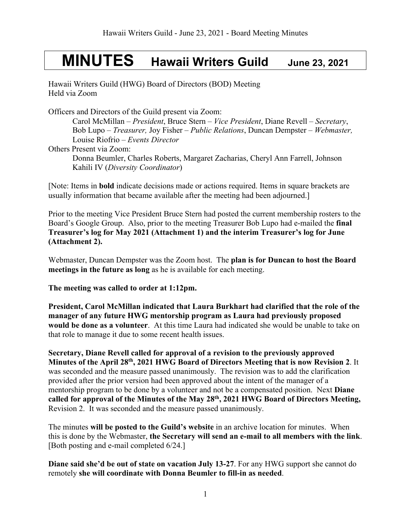# **MINUTES Hawaii Writers Guild June 23, 2021**

Hawaii Writers Guild (HWG) Board of Directors (BOD) Meeting Held via Zoom

Officers and Directors of the Guild present via Zoom:

Carol McMillan – *President*, Bruce Stern – *Vice President*, Diane Revell – *Secretary*, Bob Lupo – *Treasurer,* Joy Fisher – *Public Relations*, Duncan Dempster – *Webmaster,*  Louise Riofrio – *Events Director* Others Present via Zoom:

Donna Beumler, Charles Roberts, Margaret Zacharias, Cheryl Ann Farrell, Johnson Kahili IV (*Diversity Coordinator*)

[Note: Items in **bold** indicate decisions made or actions required. Items in square brackets are usually information that became available after the meeting had been adjourned.]

Prior to the meeting Vice President Bruce Stern had posted the current membership rosters to the Board's Google Group. Also, prior to the meeting Treasurer Bob Lupo had e-mailed the **final Treasurer's log for May 2021 (Attachment 1) and the interim Treasurer's log for June (Attachment 2).** 

Webmaster, Duncan Dempster was the Zoom host. The **plan is for Duncan to host the Board meetings in the future as long** as he is available for each meeting.

**The meeting was called to order at 1:12pm.**

**President, Carol McMillan indicated that Laura Burkhart had clarified that the role of the manager of any future HWG mentorship program as Laura had previously proposed would be done as a volunteer**. At this time Laura had indicated she would be unable to take on that role to manage it due to some recent health issues.

**Secretary, Diane Revell called for approval of a revision to the previously approved Minutes of the April 28th, 2021 HWG Board of Directors Meeting that is now Revision 2**. It was seconded and the measure passed unanimously. The revision was to add the clarification provided after the prior version had been approved about the intent of the manager of a mentorship program to be done by a volunteer and not be a compensated position. Next **Diane called for approval of the Minutes of the May 28th, 2021 HWG Board of Directors Meeting,**  Revision 2.It was seconded and the measure passed unanimously.

The minutes **will be posted to the Guild's website** in an archive location for minutes. When this is done by the Webmaster, **the Secretary will send an e-mail to all members with the link**. [Both posting and e-mail completed 6/24.]

**Diane said she'd be out of state on vacation July 13-27**. For any HWG support she cannot do remotely **she will coordinate with Donna Beumler to fill-in as needed**.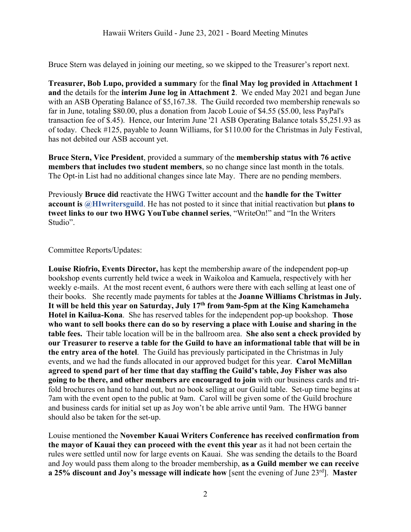Bruce Stern was delayed in joining our meeting, so we skipped to the Treasurer's report next.

**Treasurer, Bob Lupo, provided a summary** for the **final May log provided in Attachment 1 and** the details for the **interim June log in Attachment 2**. We ended May 2021 and began June with an ASB Operating Balance of \$5,167.38. The Guild recorded two membership renewals so far in June, totaling \$80.00, plus a donation from Jacob Louie of \$4.55 (\$5.00, less PayPal's transaction fee of \$.45). Hence, our Interim June '21 ASB Operating Balance totals \$5,251.93 as of today. Check #125, payable to Joann Williams, for \$110.00 for the Christmas in July Festival, has not debited our ASB account yet.

**Bruce Stern, Vice President**, provided a summary of the **membership status with 76 active members that includes two student members**, so no change since last month in the totals. The Opt-in List had no additional changes since late May. There are no pending members.

Previously **Bruce did** reactivate the HWG Twitter account and the **handle for the Twitter account is @HIwritersguild**. He has not posted to it since that initial reactivation but **plans to tweet links to our two HWG YouTube channel series**, "WriteOn!" and "In the Writers Studio".

Committee Reports/Updates:

**Louise Riofrio, Events Director,** has kept the membership aware of the independent pop-up bookshop events currently held twice a week in Waikoloa and Kamuela, respectively with her weekly e-mails. At the most recent event, 6 authors were there with each selling at least one of their books. She recently made payments for tables at the **Joanne Williams Christmas in July. It will be held this year on Saturday, July 17th from 9am-5pm at the King Kamehameha Hotel in Kailua-Kona**. She has reserved tables for the independent pop-up bookshop. **Those who want to sell books there can do so by reserving a place with Louise and sharing in the table fees.** Their table location will be in the ballroom area. **She also sent a check provided by our Treasurer to reserve a table for the Guild to have an informational table that will be in the entry area of the hotel**. The Guild has previously participated in the Christmas in July events, and we had the funds allocated in our approved budget for this year. **Carol McMillan agreed to spend part of her time that day staffing the Guild's table, Joy Fisher was also going to be there, and other members are encouraged to join** with our business cards and trifold brochures on hand to hand out, but no book selling at our Guild table. Set-up time begins at 7am with the event open to the public at 9am. Carol will be given some of the Guild brochure and business cards for initial set up as Joy won't be able arrive until 9am. The HWG banner should also be taken for the set-up.

Louise mentioned the **November Kauai Writers Conference has received confirmation from the mayor of Kauai they can proceed with the event this year** as it had not been certain the rules were settled until now for large events on Kauai. She was sending the details to the Board and Joy would pass them along to the broader membership, **as a Guild member we can receive a 25% discount and Joy's message will indicate how** [sent the evening of June 23rd]. **Master**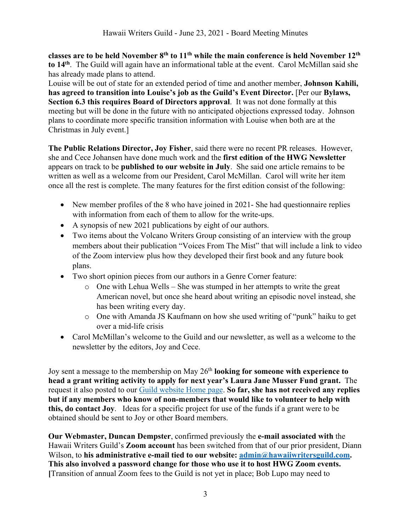**classes are to be held November 8th to 11th while the main conference is held November 12th to 14th**. The Guild will again have an informational table at the event. Carol McMillan said she has already made plans to attend.

Louise will be out of state for an extended period of time and another member, **Johnson Kahili, has agreed to transition into Louise's job as the Guild's Event Director.** [Per our **Bylaws, Section 6.3 this requires Board of Directors approval**. It was not done formally at this meeting but will be done in the future with no anticipated objections expressed today. Johnson plans to coordinate more specific transition information with Louise when both are at the Christmas in July event.]

**The Public Relations Director, Joy Fisher**, said there were no recent PR releases. However, she and Cece Johansen have done much work and the **first edition of the HWG Newsletter** appears on track to be **published to our website in July**. She said one article remains to be written as well as a welcome from our President, Carol McMillan. Carol will write her item once all the rest is complete. The many features for the first edition consist of the following:

- New member profiles of the 8 who have joined in 2021- She had questionnaire replies with information from each of them to allow for the write-ups.
- A synopsis of new 2021 publications by eight of our authors.
- Two items about the Volcano Writers Group consisting of an interview with the group members about their publication "Voices From The Mist" that will include a link to video of the Zoom interview plus how they developed their first book and any future book plans.
- Two short opinion pieces from our authors in a Genre Corner feature:
	- o One with Lehua Wells She was stumped in her attempts to write the great American novel, but once she heard about writing an episodic novel instead, she has been writing every day.
	- o One with Amanda JS Kaufmann on how she used writing of "punk" haiku to get over a mid-life crisis
- Carol McMillan's welcome to the Guild and our newsletter, as well as a welcome to the newsletter by the editors, Joy and Cece.

Joy sent a message to the membership on May 26th **looking for someone with experience to head a grant writing activity to apply for next year's Laura Jane Musser Fund grant.** The request it also posted to our Guild website Home page. **So far, she has not received any replies but if any members who know of non-members that would like to volunteer to help with this, do contact Joy**. Ideas for a specific project for use of the funds if a grant were to be obtained should be sent to Joy or other Board members.

**Our Webmaster, Duncan Dempster**, confirmed previously the **e-mail associated with** the Hawaii Writers Guild's **Zoom account** has been switched from that of our prior president, Diann Wilson, to his administrative e-mail tied to our website: admin@hawaiiwritersguild.com. **This also involved a password change for those who use it to host HWG Zoom events. [**Transition of annual Zoom fees to the Guild is not yet in place; Bob Lupo may need to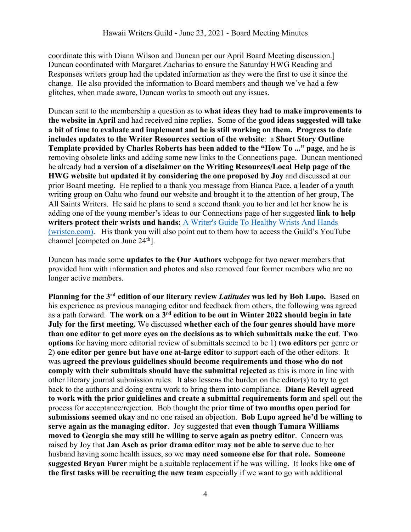coordinate this with Diann Wilson and Duncan per our April Board Meeting discussion.] Duncan coordinated with Margaret Zacharias to ensure the Saturday HWG Reading and Responses writers group had the updated information as they were the first to use it since the change. He also provided the information to Board members and though we've had a few glitches, when made aware, Duncan works to smooth out any issues.

Duncan sent to the membership a question as to **what ideas they had to make improvements to the website in April** and had received nine replies. Some of the **good ideas suggested will take a bit of time to evaluate and implement and he is still working on them. Progress to date includes updates to the Writer Resources section of the website**: a **Short Story Outline Template provided by Charles Roberts has been added to the "How To ..." page**, and he is removing obsolete links and adding some new links to the Connections page. Duncan mentioned he already had **a version of a disclaimer on the Writing Resources/Local Help page of the HWG website** but **updated it by considering the one proposed by Joy** and discussed at our prior Board meeting. He replied to a thank you message from Bianca Pace, a leader of a youth writing group on Oahu who found our website and brought it to the attention of her group, The All Saints Writers. He said he plans to send a second thank you to her and let her know he is adding one of the young member's ideas to our Connections page of her suggested **link to help writers protect their wrists and hands:** A Writer's Guide To Healthy Wrists And Hands (wristco.com).His thank you will also point out to them how to access the Guild's YouTube channel [competed on June 24th].

Duncan has made some **updates to the Our Authors** webpage for two newer members that provided him with information and photos and also removed four former members who are no longer active members.

**Planning for the 3rd edition of our literary review** *Latitudes* **was led by Bob Lupo.** Based on his experience as previous managing editor and feedback from others, the following was agreed as a path forward. **The work on a 3rd edition to be out in Winter 2022 should begin in late July for the first meeting.** We discussed **whether each of the four genres should have more than one editor to get more eyes on the decisions as to which submittals make the cut**. **Two options** for having more editorial review of submittals seemed to be 1) **two editors** per genre or 2) **one editor per genre but have one at-large editor** to support each of the other editors. It was **agreed the previous guidelines should become requirements and those who do not comply with their submittals should have the submittal rejected** as this is more in line with other literary journal submission rules. It also lessens the burden on the editor(s) to try to get back to the authors and doing extra work to bring them into compliance. **Diane Revell agreed to work with the prior guidelines and create a submittal requirements form** and spell out the process for acceptance/rejection. Bob thought the prior **time of two months open period for submissions seemed okay** and no one raised an objection. **Bob Lupo agreed he'd be willing to serve again as the managing editor**. Joy suggested that **even though Tamara Williams moved to Georgia she may still be willing to serve again as poetry editor**. Concern was raised by Joy that **Jan Asch as prior drama editor may not be able to serve** due to her husband having some health issues, so we **may need someone else for that role. Someone suggested Bryan Furer** might be a suitable replacement if he was willing. It looks like **one of the first tasks will be recruiting the new team** especially if we want to go with additional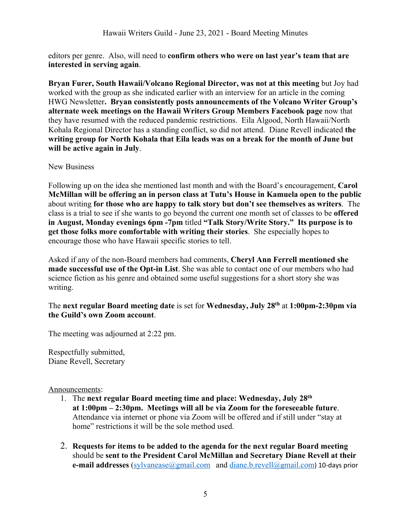editors per genre. Also, will need to **confirm others who were on last year's team that are interested in serving again**.

**Bryan Furer, South Hawaii/Volcano Regional Director, was not at this meeting** but Joy had worked with the group as she indicated earlier with an interview for an article in the coming HWG Newsletter**. Bryan consistently posts announcements of the Volcano Writer Group's alternate week meetings on the Hawaii Writers Group Members Facebook page** now that they have resumed with the reduced pandemic restrictions. Eila Algood, North Hawaii/North Kohala Regional Director has a standing conflict, so did not attend. Diane Revell indicated **the writing group for North Kohala that Eila leads was on a break for the month of June but will be active again in July**.

#### New Business

Following up on the idea she mentioned last month and with the Board's encouragement, **Carol McMillan will be offering an in person class at Tutu's House in Kamuela open to the public** about writing **for those who are happy to talk story but don't see themselves as writers**. The class is a trial to see if she wants to go beyond the current one month set of classes to be **offered in August, Monday evenings 6pm -7pm** titled **"Talk Story/Write Story." Its purpose is to get those folks more comfortable with writing their stories**. She especially hopes to encourage those who have Hawaii specific stories to tell.

Asked if any of the non-Board members had comments, **Cheryl Ann Ferrell mentioned she made successful use of the Opt-in List**. She was able to contact one of our members who had science fiction as his genre and obtained some useful suggestions for a short story she was writing.

### The **next regular Board meeting date** is set for **Wednesday, July 28th** at **1:00pm-2:30pm via the Guild's own Zoom account**.

The meeting was adjourned at 2:22 pm.

Respectfully submitted, Diane Revell, Secretary

#### Announcements:

- 1. The **next regular Board meeting time and place: Wednesday, July 28th at 1:00pm – 2:30pm. Meetings will all be via Zoom for the foreseeable future**. Attendance via internet or phone via Zoom will be offered and if still under "stay at home" restrictions it will be the sole method used.
- 2. **Requests for items to be added to the agenda for the next regular Board meeting** should be **sent to the President Carol McMillan and Secretary Diane Revell at their e-mail addresses** (sylvanease@gmail.com and diane.b.revell@gmail.com) 10-days prior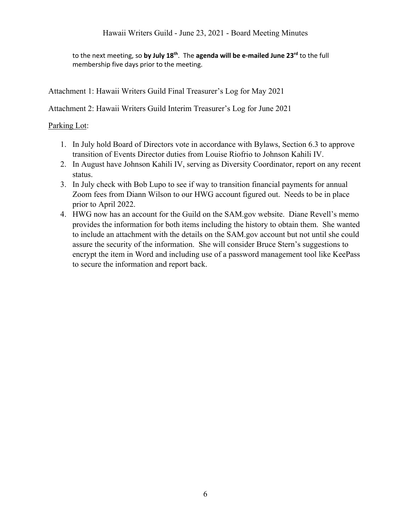Hawaii Writers Guild - June 23, 2021 - Board Meeting Minutes

to the next meeting, so **by July 18th**. The **agenda will be e-mailed June 23rd** to the full membership five days prior to the meeting.

Attachment 1: Hawaii Writers Guild Final Treasurer's Log for May 2021

Attachment 2: Hawaii Writers Guild Interim Treasurer's Log for June 2021

### Parking Lot:

- 1. In July hold Board of Directors vote in accordance with Bylaws, Section 6.3 to approve transition of Events Director duties from Louise Riofrio to Johnson Kahili IV.
- 2. In August have Johnson Kahili IV, serving as Diversity Coordinator, report on any recent status.
- 3. In July check with Bob Lupo to see if way to transition financial payments for annual Zoom fees from Diann Wilson to our HWG account figured out. Needs to be in place prior to April 2022.
- 4. HWG now has an account for the Guild on the SAM.gov website. Diane Revell's memo provides the information for both items including the history to obtain them. She wanted to include an attachment with the details on the SAM.gov account but not until she could assure the security of the information. She will consider Bruce Stern's suggestions to encrypt the item in Word and including use of a password management tool like KeePass to secure the information and report back.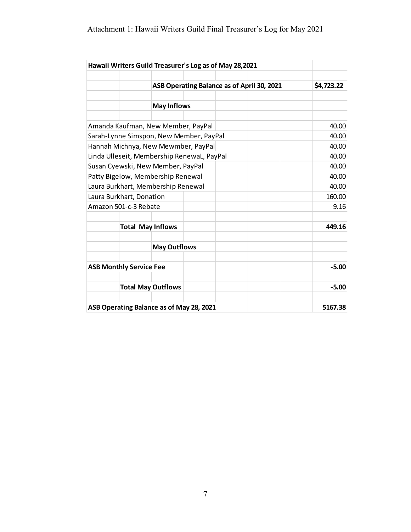# Attachment 1: Hawaii Writers Guild Final Treasurer's Log for May 2021

| Hawaii Writers Guild Treasurer's Log as of May 28,2021 |                          |                                            |            |  |         |         |
|--------------------------------------------------------|--------------------------|--------------------------------------------|------------|--|---------|---------|
|                                                        |                          | ASB Operating Balance as of April 30, 2021 | \$4,723.22 |  |         |         |
|                                                        |                          |                                            |            |  |         |         |
|                                                        |                          | <b>May Inflows</b>                         |            |  |         |         |
| Amanda Kaufman, New Member, PayPal                     |                          |                                            |            |  |         | 40.00   |
| Sarah-Lynne Simspon, New Member, PayPal                |                          |                                            |            |  |         | 40.00   |
| Hannah Michnya, New Mewmber, PayPal                    |                          |                                            |            |  |         | 40.00   |
| Linda Ulleseit, Membership RenewaL, PayPal             | 40.00                    |                                            |            |  |         |         |
| Susan Cyewski, New Member, PayPal                      |                          |                                            |            |  |         | 40.00   |
| Patty Bigelow, Membership Renewal                      |                          |                                            |            |  |         | 40.00   |
| Laura Burkhart, Membership Renewal                     |                          |                                            |            |  |         | 40.00   |
| Laura Burkhart, Donation                               |                          |                                            |            |  |         | 160.00  |
| Amazon 501-c-3 Rebate                                  |                          |                                            |            |  |         | 9.16    |
|                                                        | <b>Total May Inflows</b> |                                            |            |  |         | 449.16  |
|                                                        |                          | <b>May Outflows</b>                        |            |  |         |         |
| <b>ASB Monthly Service Fee</b>                         |                          |                                            |            |  | $-5.00$ |         |
|                                                        |                          | <b>Total May Outflows</b>                  |            |  |         | $-5.00$ |
| ASB Operating Balance as of May 28, 2021               |                          |                                            |            |  |         | 5167.38 |